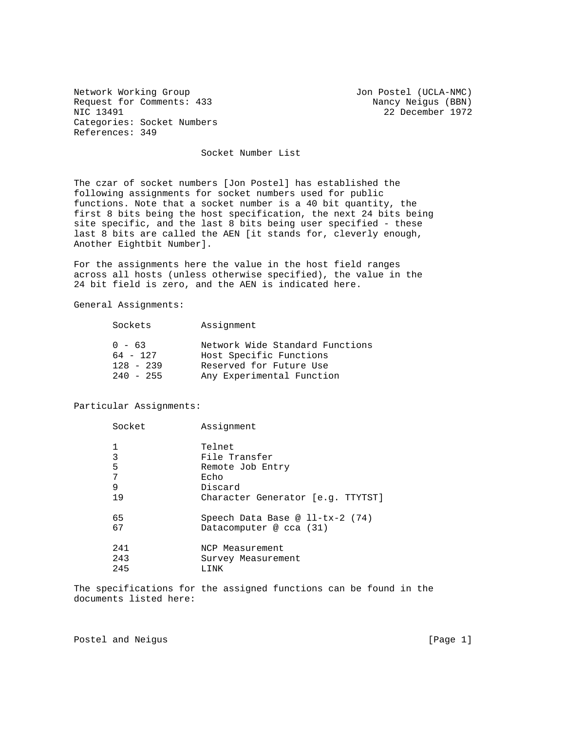Network Working Group Jon Postel (UCLA-NMC) Request for Comments: 433 Nancy Neigus (BBN)<br>NIC 13491 22 December 1972 Categories: Socket Numbers References: 349

22 December 1972

Socket Number List

The czar of socket numbers [Jon Postel] has established the following assignments for socket numbers used for public functions. Note that a socket number is a 40 bit quantity, the first 8 bits being the host specification, the next 24 bits being site specific, and the last 8 bits being user specified - these last 8 bits are called the AEN [it stands for, cleverly enough, Another Eightbit Number].

For the assignments here the value in the host field ranges across all hosts (unless otherwise specified), the value in the 24 bit field is zero, and the AEN is indicated here.

General Assignments:

| $0 - 63$<br>Host Specific Functions<br>$64 - 127$<br>$128 - 239$<br>Reserved for Future Use<br>$240 - 255$ | Sockets | Assignment                                                   |
|------------------------------------------------------------------------------------------------------------|---------|--------------------------------------------------------------|
|                                                                                                            |         | Network Wide Standard Functions<br>Any Experimental Function |

## Particular Assignments:

| Socket | Assignment                        |
|--------|-----------------------------------|
|        | Telnet                            |
| 3      | File Transfer                     |
| 5      | Remote Job Entry                  |
| 7      | Echo                              |
| 9      | Discard                           |
| 19     | Character Generator [e.g. TTYTST] |
| 65     | Speech Data Base @ $l1-tx-2$ (74) |
| 67     | Datacomputer @ $cca$ (31)         |
| 241    | NCP Measurement                   |
| 243    | Survey Measurement                |
| 245    | LINK                              |
|        |                                   |

The specifications for the assigned functions can be found in the documents listed here:

Postel and Neigus **[Page 1]**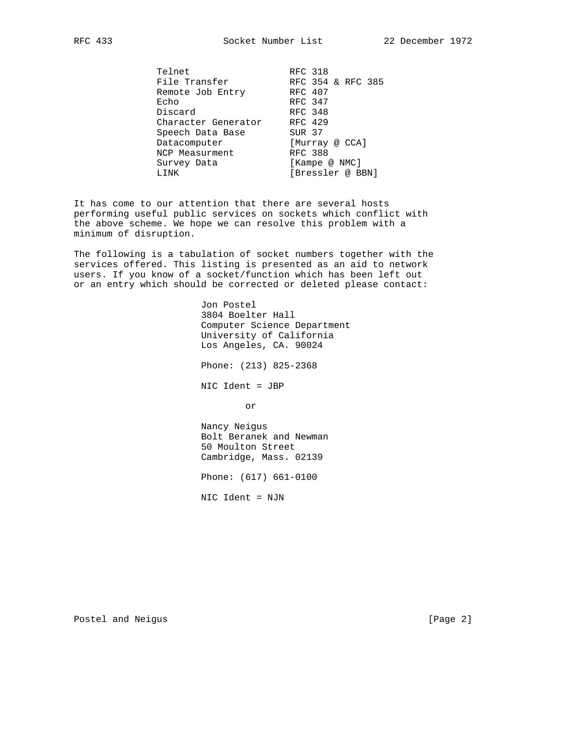Telnet RFC 318 File Transfer RFC 354 & RFC 385 Remote Job Entry RFC 407 Echo RFC 347 Discard RFC 348 Character Generator RFC 429 Speech Data Base SUR 37 Datacomputer [Murray @ CCA] NCP Measurment RFC 388 Survey Data [Kampe @ NMC] LINK [Bressler @ BBN]

It has come to our attention that there are several hosts performing useful public services on sockets which conflict with the above scheme. We hope we can resolve this problem with a minimum of disruption.

The following is a tabulation of socket numbers together with the services offered. This listing is presented as an aid to network users. If you know of a socket/function which has been left out or an entry which should be corrected or deleted please contact:

 Jon Postel 3804 Boelter Hall Computer Science Department University of California Los Angeles, CA. 90024 Phone: (213) 825-2368 NIC Ident = JBP or Nancy Neigus Bolt Beranek and Newman 50 Moulton Street Cambridge, Mass. 02139 Phone: (617) 661-0100 NIC Ident = NJN

Postel and Neigus **[Page 2]**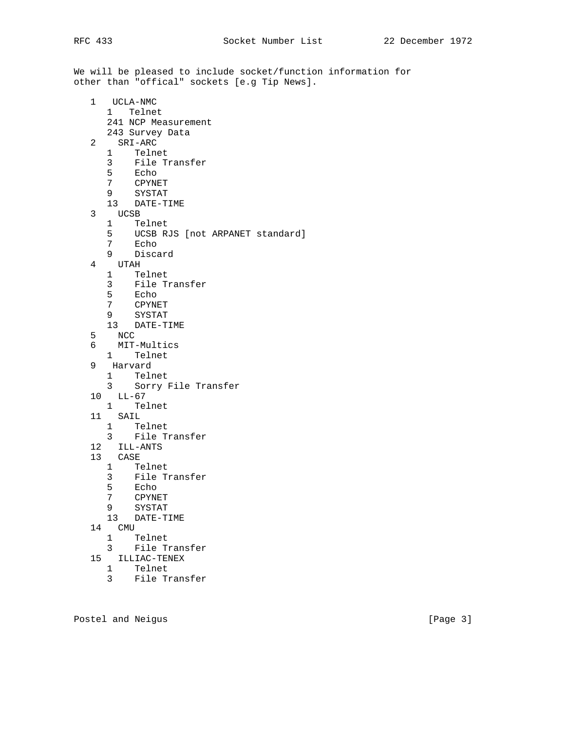We will be pleased to include socket/function information for other than "offical" sockets [e.g Tip News].

- 1 UCLA-NMC 1 Telnet 241 NCP Measurement 243 Survey Data 2 SRI-ARC 1 Telnet 3 File Transfer 5 Echo 7 CPYNET
	- 9 SYSTAT
	- 13 DATE-TIME
- $\begin{array}{ccccc}\n3 & & \text{UCSB} \\
 & 1 & & \text{T}\epsilon\n\end{array}$ 
	- 1 Telnet
	- 5 UCSB RJS [not ARPANET standard]
	- 7 Echo<br>9 Disca
	- 9 Discard
- 4 UTAH
	- 1 Telnet
	- 3 File Transfer
	- 5 Echo<br>7 CPYNI
	- 7 CPYNET
	- 9 SYSTAT
	- 13 DATE-TIME
- 5 NCC
- 6 MIT-Multics
	- 1 Telnet<br>9 Harvard
	- 9 Harvard
		- 1 Telnet
		- 3 Sorry File Transfer
	- 10 LL-67
		- 1 Telnet
	- 11 SAIL
		- 1 Telnet
		- 3 File Transfer
	- 12 ILL-ANTS
	- 13 CASE
		- 1 Telnet
			- 3 File Transfer
		- 5 Echo<br>7 CPYNI
		- 7 CPYNET
		- 9 SYSTAT
		- 13 DATE-TIME
	- $\begin{array}{ccccc}\n14 & & \text{CMU} \\
	& 1 & & \text{T}\n\end{array}$ 
		- 1 Telnet
		- 3 File Transfer
	- 15 ILLIAC-TENEX
		- 1 Telnet
			- 3 File Transfer

Postel and Neigus **[Page 3]**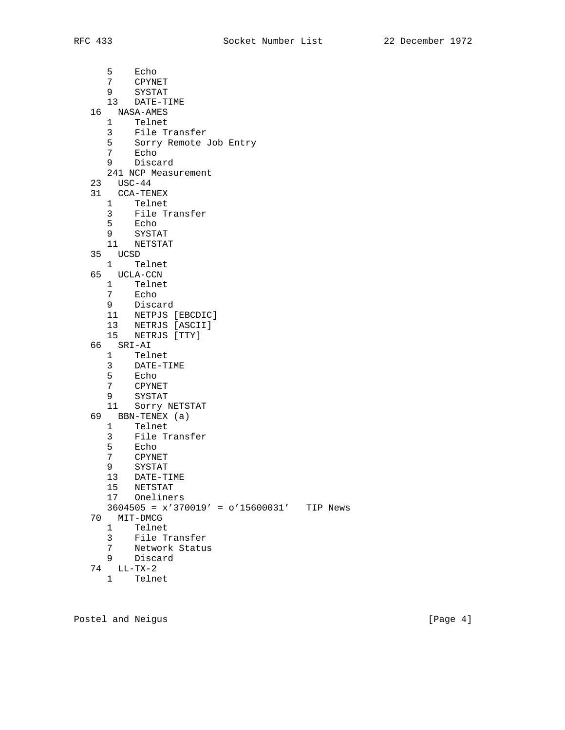5 Echo<br>7 CPYNI 7 CPYNET<br>9 SYSTAT 9 SYSTAT 13 DATE-TIME 16 NASA-AMES 1 Telnet 3 File Transfer 5 Sorry Remote Job Entry 7 Echo 9 Discard 241 NCP Measurement 23 USC-44 31 CCA-TENEX 1 Telnet 3 File Transfer 5 Echo 9 SYSTAT 11 NETSTAT 35 UCSD 1 Telnet 65 UCLA-CCN 1 Telnet<br>7 Echo 7 Echo 9 Discard 11 NETPJS [EBCDIC] 13 NETRJS [ASCII] 15 NETRJS [TTY] 66 SRI-AI 1 Telnet 3 DATE-TIME<br>5 Echo Echo 7 CPYNET 9 SYSTAT 11 Sorry NETSTAT 69 BBN-TENEX (a) 1 Telnet 3 File Transfer 5 Echo 7 CPYNET 9 SYSTAT 13 DATE-TIME 15 NETSTAT<br>17 Oneline Oneliners 3604505 = x'370019' = o'15600031' TIP News 70 MIT-DMCG 1 Telnet 3 File Transfer 7 Network Status 9 Discard 74 LL-TX-2

1 Telnet

Postel and Neigus **Example 20** (Page 4)